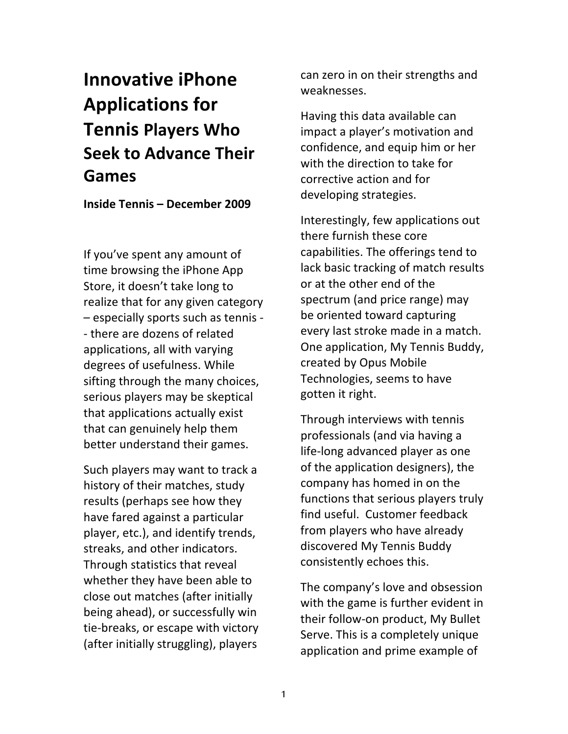# **Innovative)iPhone) Applications)for) Tennis Players Who Seek to Advance Their Games**

**Inside)Tennis)– December)2009**

If you've spent any amount of time browsing the iPhone App Store, it doesn't take long to realize that for any given category - especially sports such as tennis -- there are dozens of related applications, all with varying degrees of usefulness. While sifting through the many choices, serious players may be skeptical that applications actually exist that can genuinely help them better understand their games.

Such players may want to track a history of their matches, study results (perhaps see how they have fared against a particular player, etc.), and identify trends, streaks, and other indicators. Through statistics that reveal whether they have been able to close out matches (after initially being ahead), or successfully win tie-breaks, or escape with victory (after initially struggling), players

can zero in on their strengths and weaknesses.

Having this data available can impact a player's motivation and confidence, and equip him or her with the direction to take for corrective action and for developing strategies.

Interestingly, few applications out there furnish these core capabilities. The offerings tend to lack basic tracking of match results or at the other end of the spectrum (and price range) may be oriented toward capturing every last stroke made in a match. One application, My Tennis Buddy, created by Opus Mobile Technologies, seems to have gotten it right.

Through interviews with tennis professionals (and via having a life-long advanced player as one of the application designers), the company has homed in on the functions that serious players truly find useful. Customer feedback from players who have already discovered My Tennis Buddy consistently echoes this.

The company's love and obsession with the game is further evident in their follow-on product, My Bullet Serve. This is a completely unique application and prime example of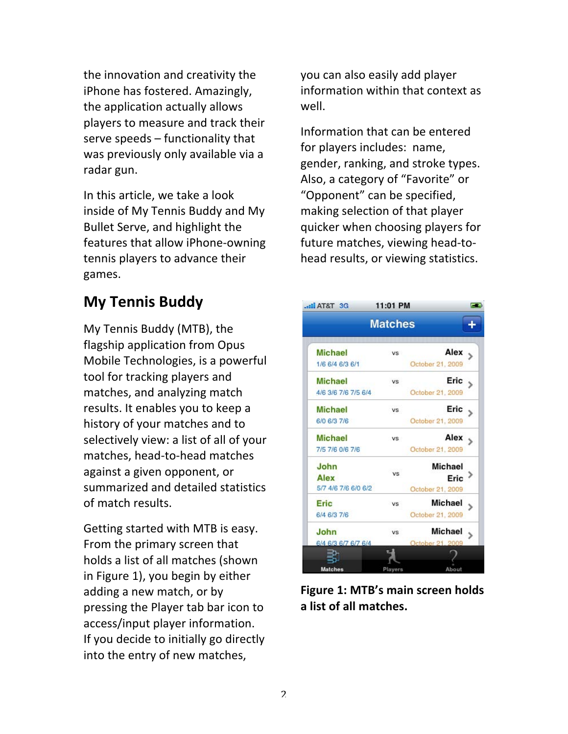the innovation and creativity the iPhone has fostered. Amazingly, the application actually allows players to measure and track their serve speeds  $-$  functionality that was previously only available via a radar gun.

In this article, we take a look inside of My Tennis Buddy and My Bullet Serve, and highlight the features that allow iPhone-owning tennis players to advance their games.

## **My Tennis Buddy**

My Tennis Buddy (MTB), the flagship application from Opus Mobile Technologies, is a powerful tool for tracking players and matches, and analyzing match results. It enables you to keep a history of your matches and to selectively view: a list of all of your matches, head-to-head matches against a given opponent, or summarized and detailed statistics. of match results.

Getting started with MTB is easy. From the primary screen that holds a list of all matches (shown in Figure 1), you begin by either adding a new match, or by pressing the Player tab bar icon to access/input player information. If you decide to initially go directly into the entry of new matches,

you can also easily add player information within that context as well.

Information that can be entered for players includes: name, gender, ranking, and stroke types. Also, a category of "Favorite" or "Opponent" can be specified, making selection of that player quicker when choosing players for future matches, viewing head-tohead results, or viewing statistics.



Figure 1: MTB's main screen holds **a)list)of)all)matches.**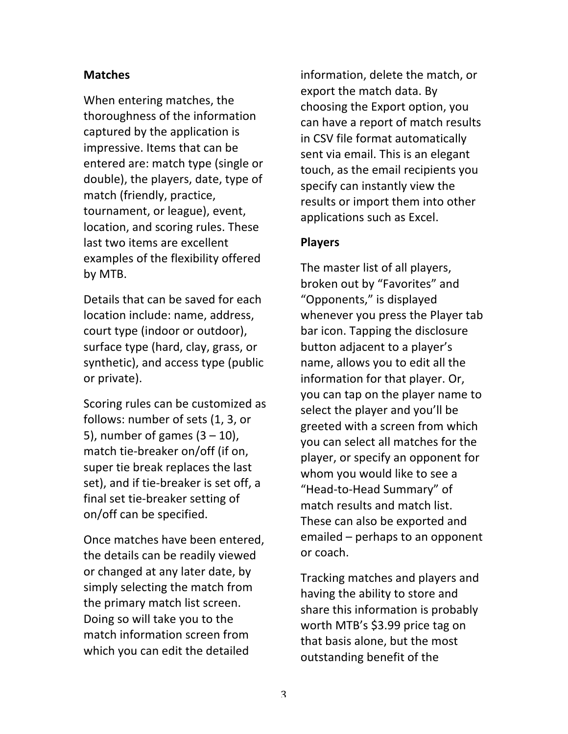### **Matches**

When entering matches, the thoroughness of the information captured by the application is impressive. Items that can be entered are: match type (single or double), the players, date, type of match (friendly, practice, tournament, or league), event, location, and scoring rules. These last two items are excellent examples of the flexibility offered by!MTB.

Details that can be saved for each location include: name, address, court type (indoor or outdoor), surface type (hard, clay, grass, or synthetic), and access type (public or private).

Scoring rules can be customized as follows: number of sets (1, 3, or 5), number of games  $(3 - 10)$ , match tie-breaker on/off (if on, super tie break replaces the last set), and if tie-breaker is set off, a final set tie-breaker setting of on/off can be specified.

Once matches have been entered, the details can be readily viewed or changed at any later date, by simply selecting the match from the primary match list screen. Doing so will take you to the match information screen from which you can edit the detailed

information, delete the match, or export the match data. By choosing the Export option, you can have a report of match results in CSV file format automatically sent via email. This is an elegant touch, as the email recipients you specify can instantly view the results or import them into other applications such as Excel.

#### **Players**

The master list of all players, broken out by "Favorites" and "Opponents," is displayed whenever you press the Player tab bar icon. Tapping the disclosure button adjacent to a player's name, allows you to edit all the information for that player. Or, you can tap on the player name to select the player and you'll be greeted with a screen from which you can select all matches for the player, or specify an opponent for whom you would like to see a "Head-to-Head Summary" of match results and match list. These can also be exported and emailed – perhaps to an opponent or!coach.

Tracking matches and players and having the ability to store and share this information is probably worth MTB's  $$3.99$  price tag on that basis alone, but the most outstanding benefit of the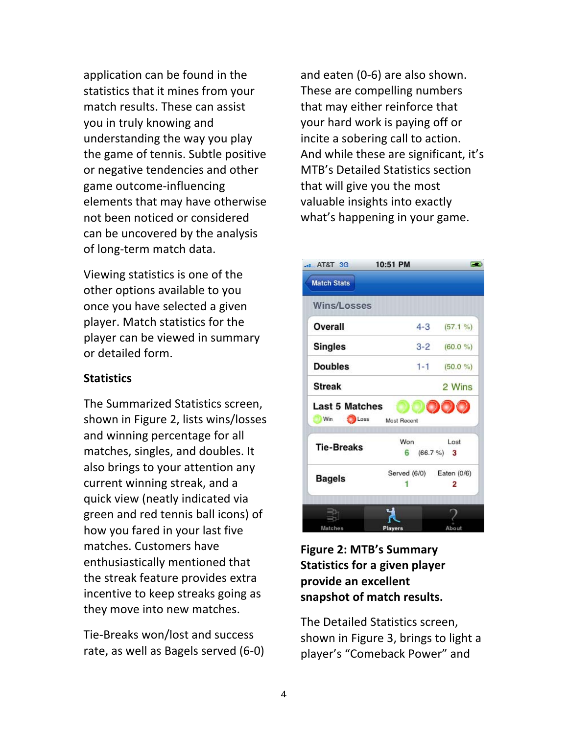application can be found in the statistics that it mines from your match results. These can assist you in truly knowing and understanding the way you play the game of tennis. Subtle positive or negative tendencies and other game outcome-influencing elements that may have otherwise not been noticed or considered can be uncovered by the analysis of long-term match data.

Viewing statistics is one of the other options available to you once you have selected a given player. Match statistics for the player can be viewed in summary or!detailed!form.

### **Statistics**

The Summarized Statistics screen. shown in Figure 2, lists wins/losses and winning percentage for all matches, singles, and doubles. It also brings to your attention any current winning streak, and a quick view (neatly indicated via green and red tennis ball icons) of how you fared in your last five matches. Customers have enthusiastically mentioned that the streak feature provides extra incentive to keep streaks going as they move into new matches.

Tie-Breaks won/lost and success rate, as well as Bagels served (6-0)

and eaten (0-6) are also shown. These are compelling numbers that may either reinforce that your hard work is paying off or incite a sobering call to action. And while these are significant, it's MTB's Detailed Statistics section that will give you the most valuable insights into exactly what's happening in your game.

| AT&T 3G               | 10:51 PM    |                          |
|-----------------------|-------------|--------------------------|
| <b>Match Stats</b>    |             |                          |
| <b>Wins/Losses</b>    |             |                          |
| Overall               |             | $4-3$ $(57.1\%)$         |
| <b>Singles</b>        | $3 - 2$     | $(60.0\%)$               |
| <b>Doubles</b>        | $1 - 1$     | $(50.0\%)$               |
| <b>Streak</b>         |             | 2 Wins                   |
| <b>Last 5 Matches</b> |             |                          |
| Win<br>Loss           | Most Recent |                          |
|                       | Won         | Lost                     |
|                       |             |                          |
| <b>Tie-Breaks</b>     |             | $6(66.7%)$ 3             |
|                       |             | Served (6/0) Eaten (0/6) |
| <b>Bagels</b>         |             | 2                        |
|                       |             |                          |

### **Figure 2: MTB's Summary Statistics for a given player** provide an excellent snapshot of match results.

The Detailed Statistics screen, shown in Figure 3, brings to light a player's "Comeback Power" and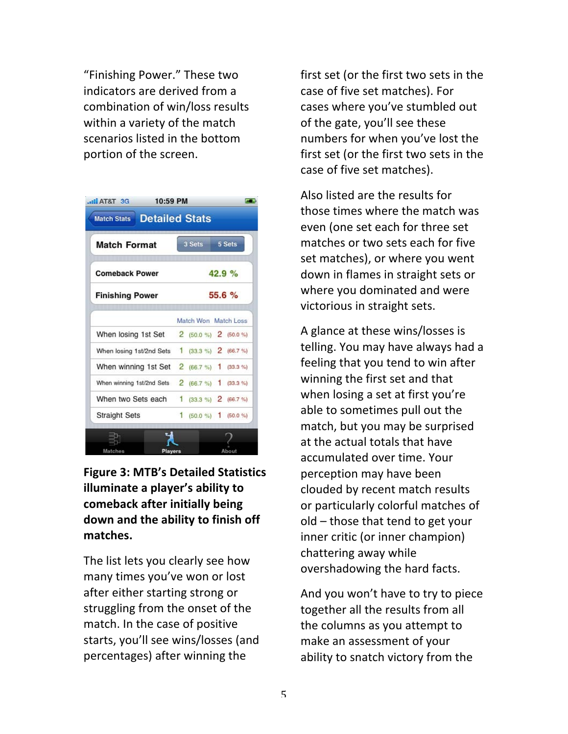"Finishing Power." These two indicators are derived from a combination of win/loss results within a variety of the match scenarios listed in the bottom portion of the screen.

| <b>Match Format</b><br><b>Comeback Power</b><br><b>Finishing Power</b> |  | 3 Sets<br>5 Sets<br>42.9%<br>55.6% |  |  |                                            |  |                      |  |  |
|------------------------------------------------------------------------|--|------------------------------------|--|--|--------------------------------------------|--|----------------------|--|--|
|                                                                        |  |                                    |  |  |                                            |  | Match Won Match Loss |  |  |
|                                                                        |  |                                    |  |  | When losing 1st Set $2(50.0\%)$ 2 (50.0 %) |  |                      |  |  |
| When losing 1st/2nd Sets 1 (33.3 %) 2 (66.7 %)                         |  |                                    |  |  |                                            |  |                      |  |  |
| When winning 1st Set 2 (66.7 %) 1 (33.3 %)                             |  |                                    |  |  |                                            |  |                      |  |  |
| When winning 1st/2nd Sets 2 (66.7 %) 1 (33.3 %)                        |  |                                    |  |  |                                            |  |                      |  |  |
| When two Sets each $1$ (33.3 %) 2 (66.7 %)                             |  |                                    |  |  |                                            |  |                      |  |  |
| <b>Straight Sets</b>                                                   |  | 1 $(50.0\%)$ 1 $(50.0\%)$          |  |  |                                            |  |                      |  |  |

**Figure 3: MTB's Detailed Statistics illuminate a player's ability to comeback)after)initially)being)** down and the ability to finish off **matches.**

The list lets you clearly see how many times you've won or lost after either starting strong or struggling from the onset of the match. In the case of positive starts, you'll see wins/losses (and percentages) after winning the

first set (or the first two sets in the case of five set matches). For cases where you've stumbled out of the gate, you'll see these numbers for when you've lost the first set (or the first two sets in the case of five set matches).

Also listed are the results for those times where the match was even (one set each for three set matches or two sets each for five set matches), or where you went down in flames in straight sets or where you dominated and were victorious in straight sets.

A glance at these wins/losses is telling. You may have always had a feeling that you tend to win after winning the first set and that when losing a set at first you're able to sometimes pull out the match, but you may be surprised at the actual totals that have accumulated over time. Your perception may have been clouded by recent match results or particularly colorful matches of  $old$  – those that tend to get your inner critic (or inner champion) chattering away while overshadowing the hard facts.

And you won't have to try to piece together all the results from all the columns as you attempt to make an assessment of your ability to snatch victory from the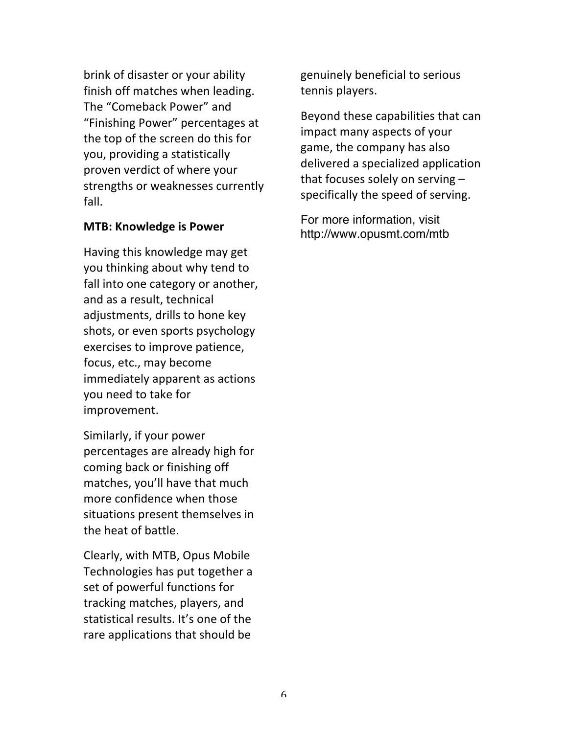brink of disaster or your ability finish off matches when leading. The "Comeback Power" and "Finishing Power" percentages at the top of the screen do this for you, providing a statistically proven verdict of where your strengths or weaknesses currently fall.

#### **MTB: Knowledge is Power**

Having this knowledge may get you thinking about why tend to fall into one category or another, and as a result, technical adjustments, drills to hone key shots, or even sports psychology exercises to improve patience, focus, etc., may become immediately apparent as actions you need to take for improvement.

Similarly, if your power percentages are already high for coming back or finishing off matches, you'll have that much more confidence when those situations present themselves in the heat of battle.

Clearly, with MTB, Opus Mobile Technologies has put together a set of powerful functions for tracking matches, players, and statistical results. It's one of the rare applications that should be

genuinely beneficial to serious tennis players.

Beyond these capabilities that can impact many aspects of your game, the company has also delivered a specialized application that focuses solely on serving  $$ specifically the speed of serving.

For more information, visit http://www.opusmt.com/mtb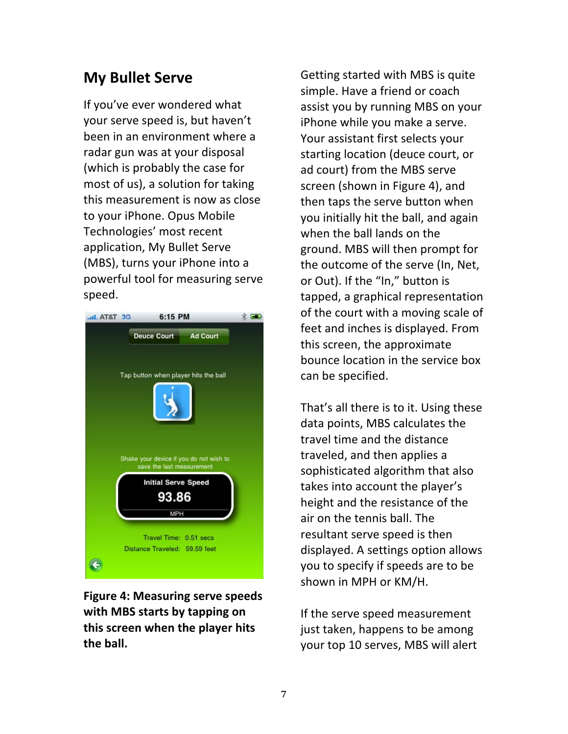# **My Bullet Serve**

If you've ever wondered what your serve speed is, but haven't been in an environment where a radar gun was at your disposal (which is probably the case for most of us), a solution for taking this measurement is now as close to your iPhone. Opus Mobile Technologies' most recent application, My Bullet Serve (MBS), turns your iPhone into a powerful tool for measuring serve speed.



**Figure 4: Measuring serve speeds** with MBS starts by tapping on this screen when the player hits the ball.

Getting started with MBS is quite simple. Have a friend or coach assist you by running MBS on your iPhone while you make a serve. Your assistant first selects your starting location (deuce court, or ad court) from the MBS serve screen (shown in Figure 4), and then taps the serve button when you initially hit the ball, and again when the ball lands on the ground. MBS will then prompt for the outcome of the serve (In, Net, or Out). If the "In," button is tapped, a graphical representation of the court with a moving scale of feet and inches is displayed. From this screen, the approximate bounce location in the service box can be specified.

That's all there is to it. Using these data points, MBS calculates the travel time and the distance traveled, and then applies a sophisticated algorithm that also takes into account the player's height and the resistance of the air on the tennis ball. The resultant serve speed is then displayed. A settings option allows you to specify if speeds are to be shown in MPH or KM/H.

If the serve speed measurement just taken, happens to be among your top 10 serves, MBS will alert